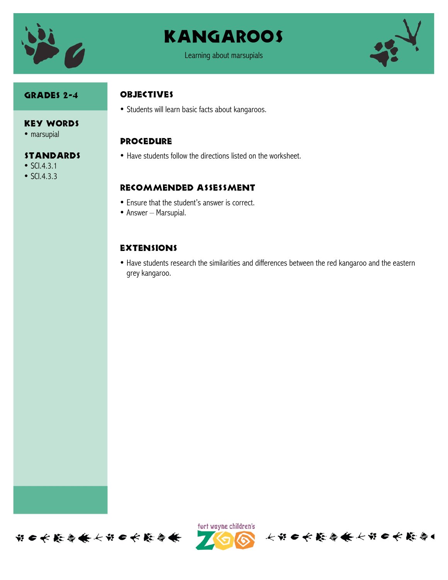

# **KANGAROOS**



#### Grades 2-4

#### **OBJECTIVES**

• Students will learn basic facts about kangaroos.

#### **PROCEDURE**

• Have students follow the directions listed on the worksheet.

#### Recommended assessment

- Ensure that the student's answer is correct.
- Answer Marsupial.

### **EXTENSIONS**

• Have students research the similarities and differences between the red kangaroo and the eastern grey kangaroo.



• marsupial

## **STANDARDS**

- SCI.4.3.1
- SCI.4.3.3





长的口长能会供长的口长能会